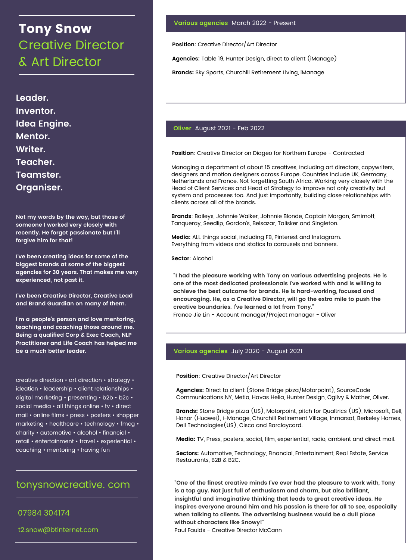# Tony Snow Creative Director & Art Director

**Leader. Inventor. Idea Engine. Mentor. Writer. Teacher. Teamster. Organiser.**

**Not my words by the way, but those of someone I worked very closely with recently. He forgot passionate but I'll forgive him for that!**

**I've been creating ideas for some of the biggest brands at some of the biggest agencies for 30 years. That makes me very experienced, not past it.**

**I've been Creative Director, Creative Lead and Brand Guardian on many of them.**

**I'm a people's person and love mentoring, teaching and coaching those around me. Being a qualified Corp & Exec Coach, NLP Practitioner and Life Coach has helped me be a much better leader.**

creative direction • art direction • strategy • ideation • leadership • client relationships • digital marketing • presenting • b2b • b2c • social media • all things online • tv • direct mail • online films • press • posters • shopper marketing • healthcare • technology • fmcg • charity • automotive • alcohol • financial • retail • entertainment • travel • experiential • coaching • mentoring • having fun

# tonysnowcreative. com

07984 304174

# **Various agencies** March 2022 - Present

**Position**: Creative Director/Art Director

**Agencies:** Table 19, Hunter Design, direct to client (iManage)

**Brands**: Sky Sports, Churchill Retirement Living, iManage

# **Oliver** August 2021 - Feb 2022

**Position**: Creative Director on Diageo for Northern Europe - Contracted

Managing a department of about 15 creatives, including art directors, copywriters, designers and motion designers across Europe. Countries include UK, Germany, Netherlands and France. Not forgetting South Africa. Working very closely with the Head of Client Services and Head of Strategy to improve not only creativity but system and processes too. And just importantly, building close relationships with clients across all of the brands.

**Brands**: Baileys, Johnnie Walker, Johnnie Blonde, Captain Morgan, Smirnoff, Tanqueray, Seedlip, Gordon's, Belsazar, Talisker and Singleton.

**Media:** ALL things social, including FB, Pinterest and Instagram. Everything from videos and statics to carousels and banners.

**Sector**: Alcohol

**"I had the pleasure working with Tony on various advertising projects. He is one of the most dedicated professionals I've worked with and is willing to achieve the best outcome for brands. He is hard-working, focused and encouraging. He, as a Creative Director, will go the extra mile to push the creative boundaries. I've learned a lot from Tony."** France Jie Lin - Account manager/Project manager - Oliver

# **Various agencies** July 2020 - August 2021

**Position**: Creative Director/Art Director

**Agencies:** Direct to client (Stone Bridge pizza/Motorpoint), SourceCode Communications NY, Metia, Havas Helia, Hunter Design, Ogilvy & Mather, Oliver.

**Brands**: Stone Bridge pizza (US), Motorpoint, pitch for Qualtrics (US), Microsoft, Dell, Honor (Huawei), i-Manage, Churchill Retirement Village, Inmarsat, Berkeley Homes, Dell Technologies(US), Cisco and Barclaycard.

**Media:** TV, Press, posters, social, film, experiential, radio, ambient and direct mail.

**Sectors:** Automotive, Technology, Financial, Entertainment, Real Estate, Service Restaurants, B2B & B2C.

**"One of the finest creative minds I've ever had the pleasure to work with, Tony is a top guy. Not just full of enthusiasm and charm, but also brilliant, insightful and imaginative thinking that leads to great creative ideas. He inspires everyone around him and his passion is there for all to see, especially when talking to clients. The advertising business would be a dull place without characters like Snowy!"**

t2.snow@btinternet.com Paul Paul Faulds - Creative Director McCann